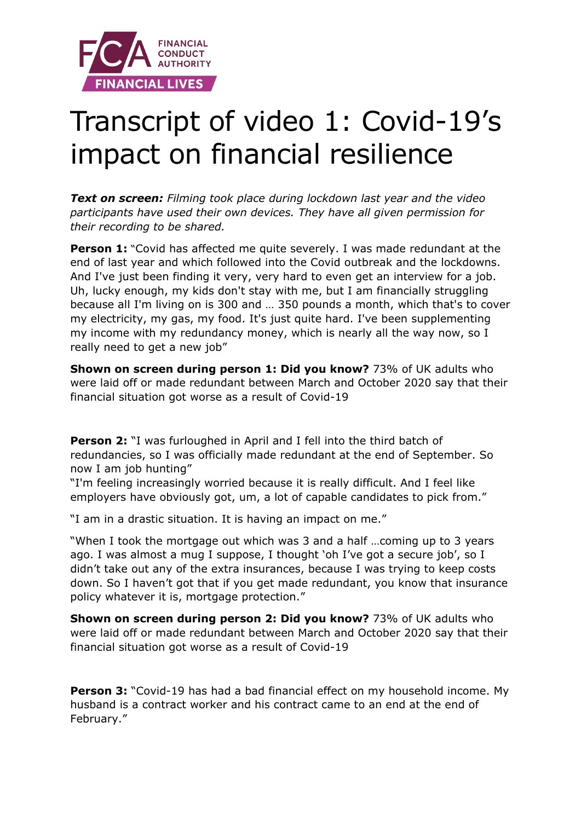

## Transcript of video 1: Covid-19's impact on financial resilience

*Text on screen: Filming took place during lockdown last year and the video participants have used their own devices. They have all given permission for their recording to be shared.* 

**Person 1:** "Covid has affected me quite severely. I was made redundant at the end of last year and which followed into the Covid outbreak and the lockdowns. And I've just been finding it very, very hard to even get an interview for a job. Uh, lucky enough, my kids don't stay with me, but I am financially struggling because all I'm living on is 300 and … 350 pounds a month, which that's to cover my electricity, my gas, my food. It's just quite hard. I've been supplementing my income with my redundancy money, which is nearly all the way now, so I really need to get a new job"

**Shown on screen during person 1: Did you know?** 73% of UK adults who were laid off or made redundant between March and October 2020 say that their financial situation got worse as a result of Covid-19

**Person 2:** "I was furloughed in April and I fell into the third batch of redundancies, so I was officially made redundant at the end of September. So now I am job hunting"

"I'm feeling increasingly worried because it is really difficult. And I feel like employers have obviously got, um, a lot of capable candidates to pick from."

"I am in a drastic situation. It is having an impact on me."

"When I took the mortgage out which was 3 and a half …coming up to 3 years ago. I was almost a mug I suppose, I thought 'oh I've got a secure job', so I didn't take out any of the extra insurances, because I was trying to keep costs down. So I haven't got that if you get made redundant, you know that insurance policy whatever it is, mortgage protection."

**Shown on screen during person 2: Did you know?** 73% of UK adults who were laid off or made redundant between March and October 2020 say that their financial situation got worse as a result of Covid-19

**Person 3:** "Covid-19 has had a bad financial effect on my household income. My husband is a contract worker and his contract came to an end at the end of February."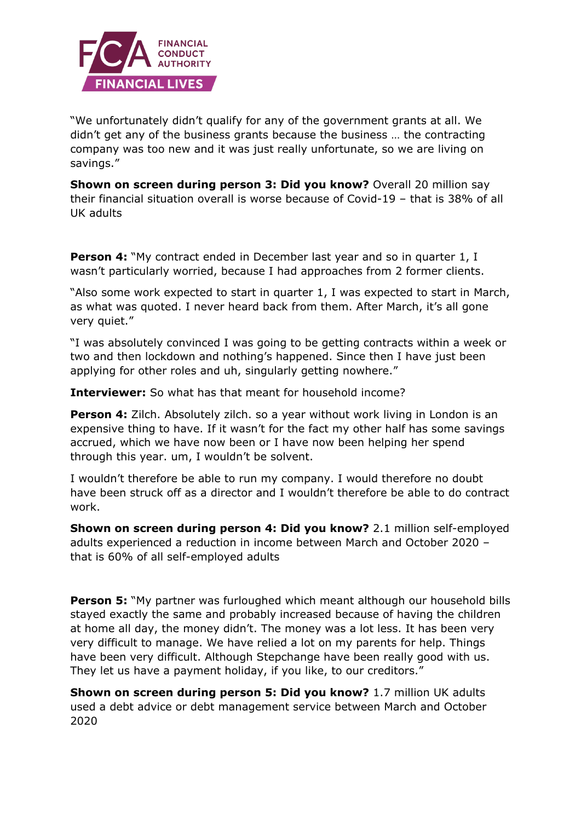

"We unfortunately didn't qualify for any of the government grants at all. We didn't get any of the business grants because the business … the contracting company was too new and it was just really unfortunate, so we are living on savings."

**Shown on screen during person 3: Did you know?** Overall 20 million say their financial situation overall is worse because of Covid-19 – that is 38% of all UK adults

**Person 4:** "My contract ended in December last year and so in quarter 1, I wasn't particularly worried, because I had approaches from 2 former clients.

"Also some work expected to start in quarter 1, I was expected to start in March, as what was quoted. I never heard back from them. After March, it's all gone very quiet."

"I was absolutely convinced I was going to be getting contracts within a week or two and then lockdown and nothing's happened. Since then I have just been applying for other roles and uh, singularly getting nowhere."

**Interviewer:** So what has that meant for household income?

**Person 4:** Zilch. Absolutely zilch. so a year without work living in London is an expensive thing to have. If it wasn't for the fact my other half has some savings accrued, which we have now been or I have now been helping her spend through this year. um, I wouldn't be solvent.

I wouldn't therefore be able to run my company. I would therefore no doubt have been struck off as a director and I wouldn't therefore be able to do contract work.

**Shown on screen during person 4: Did you know?** 2.1 million self-employed adults experienced a reduction in income between March and October 2020 – that is 60% of all self-employed adults

**Person 5:** "My partner was furloughed which meant although our household bills stayed exactly the same and probably increased because of having the children at home all day, the money didn't. The money was a lot less. It has been very very difficult to manage. We have relied a lot on my parents for help. Things have been very difficult. Although Stepchange have been really good with us. They let us have a payment holiday, if you like, to our creditors."

**Shown on screen during person 5: Did you know?** 1.7 million UK adults used a debt advice or debt management service between March and October 2020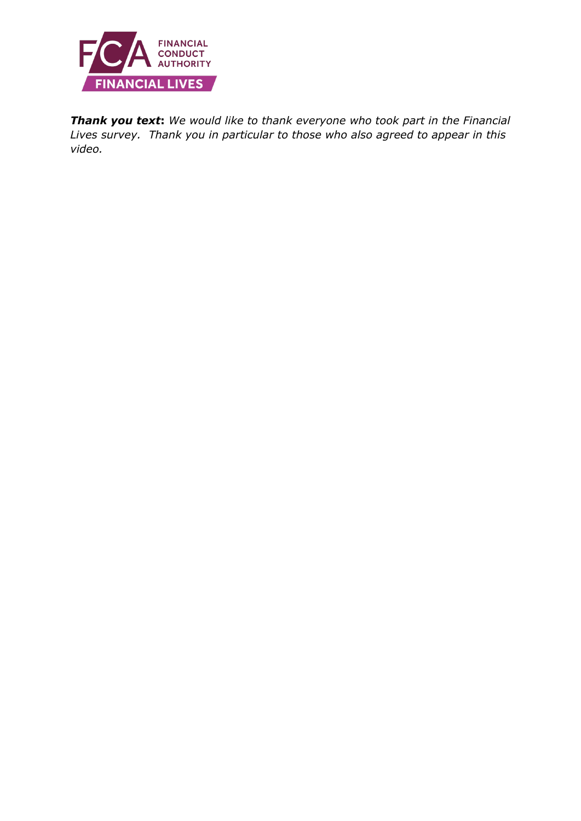

*Thank you text***:** *We would like to thank everyone who took part in the Financial Lives survey. Thank you in particular to those who also agreed to appear in this video.*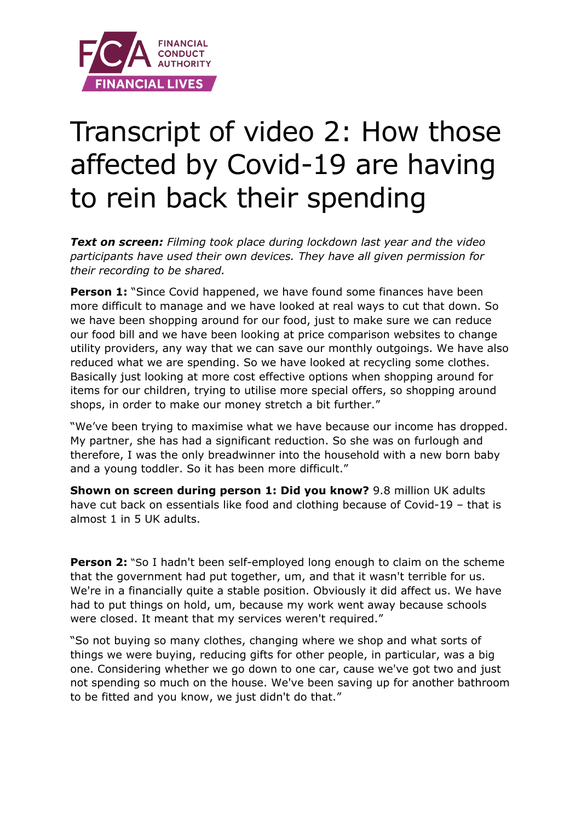

## Transcript of video 2: How those affected by Covid-19 are having to rein back their spending

*Text on screen: Filming took place during lockdown last year and the video participants have used their own devices. They have all given permission for their recording to be shared.* 

**Person 1:** "Since Covid happened, we have found some finances have been more difficult to manage and we have looked at real ways to cut that down. So we have been shopping around for our food, just to make sure we can reduce our food bill and we have been looking at price comparison websites to change utility providers, any way that we can save our monthly outgoings. We have also reduced what we are spending. So we have looked at recycling some clothes. Basically just looking at more cost effective options when shopping around for items for our children, trying to utilise more special offers, so shopping around shops, in order to make our money stretch a bit further."

"We've been trying to maximise what we have because our income has dropped. My partner, she has had a significant reduction. So she was on furlough and therefore, I was the only breadwinner into the household with a new born baby and a young toddler. So it has been more difficult."

**Shown on screen during person 1: Did you know?** 9.8 million UK adults have cut back on essentials like food and clothing because of Covid-19 – that is almost 1 in 5 UK adults.

**Person 2:** "So I hadn't been self-employed long enough to claim on the scheme that the government had put together, um, and that it wasn't terrible for us. We're in a financially quite a stable position. Obviously it did affect us. We have had to put things on hold, um, because my work went away because schools were closed. It meant that my services weren't required."

"So not buying so many clothes, changing where we shop and what sorts of things we were buying, reducing gifts for other people, in particular, was a big one. Considering whether we go down to one car, cause we've got two and just not spending so much on the house. We've been saving up for another bathroom to be fitted and you know, we just didn't do that."